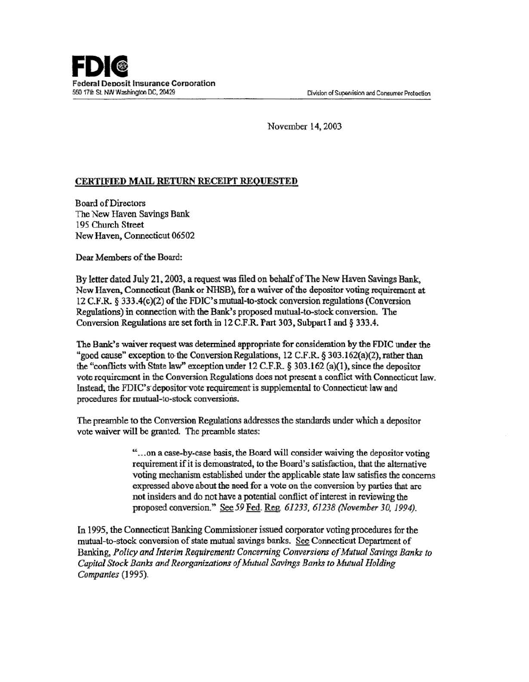November 14, 2003

## CERTIFIED MAIL RETURN RECEIPT REQUESTED

Board of Directors The New Haven Savings Bank 195 Church Street New Haven, Connecticut 06502

Dear Members of the Board:

By letter dated July 21, 2003, a request was filed on behalf of The New Haven Savings Bank, New Haven, Connecticut (Bank or NHSB), for a waiver of the depositor voting requirement at  $12$  C.F.R.  $\&$  333.4(c)(2) of the FDIC's mutual-to-stock conversion regulations (Conversion Regulations) in connection with the Bank's proposed mutual-to-stock conversion. The Conversion Regulations are set forth in 12 C.F.R. Part 303, Subpart I and§ 333.4.

The Bank's waiver request was determined appropriate for consideration by the FDIC under the "good cause" exception to the Conversion Regulations,  $12 \text{ C.F.R. }$  § 303.162(a)(2), rather than the "conflicts with State laW' exception under 12 C.P.R. *§* 303.162 (a)(l), since the depositor vote requirement in the Conversion Regulations does not present a conflict with Connecticut law. Instead; the FDIC's depositor vote requirement is supplemental to Connecticut law and procedures for mutual-to-stock conversions.

The preamble to the Conversion Regulations addresses the standards under which a depositor vote waiver will be granted. The preamble states:

> " ... on a case-by-case basis, the Board will consider waiving the depositor voting requirement if it is demonstrated, to the Board's satisfaction, that the alternative voting mechanism established under the applicable state law satisfies the concerns expressed above about the need for a vote on the conversion by parties that are not insiders and do not have a potential conflict of interest in reviewing the proposed conversion." See59Fed. Reg. *61233, 61238 (November 30,1994).*

In 1995, the Connecticut Banking Commissioner issued corporator voting procedures for the mutual-to-stock conversion of state mutual savings banks. See Connecticut Department of Banking, *Policy and Interim Requirements Concerning Conversions of Mutual Savings Banks to Capital Stock Banks and Reorganizations of Mutual Savings Banks to Mutual Holding Companies* (1995).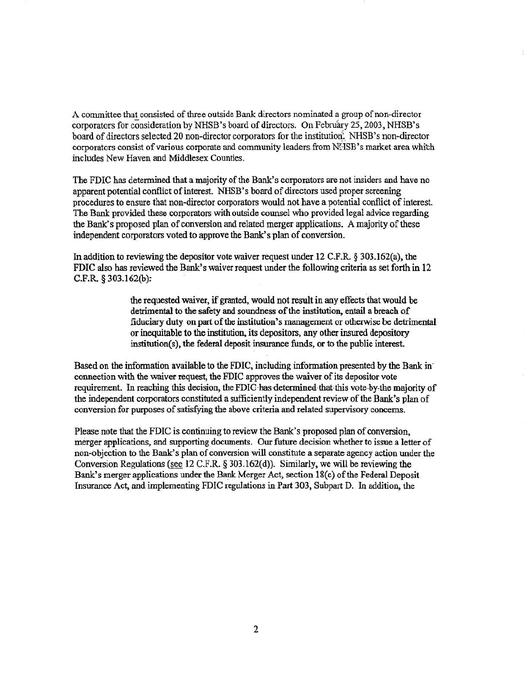A committee that consisted of three outside Bank directors nominated a group of non-director corporators for consideration by NHSB's board of directors. On February 25, 2003, NHSB's board of directors selected 20 non-director corporators for the institution. NHSB's non-director corporators consist of various corporate and community leaders from NHSB's market area which includes New Haven and Middlesex Counties.

The FDIC has determined that a majority of the Bank's corporators are not insiders and have no apparent potential conflict of interest. NHSB's board of directors used proper screening procedures to ensure that non-director corporators would not have a potential conflict of interest. The Bank provided these corporators with outside counsel who provided legal advice regarding the Bank's proposed plan of conversion and related merger applications. A majority of these independent corporators voted to approve the Bank's plan of conversion.

In addition to reviewing the depositor vote waiver request under 12 C.F.R. § 303.162(a), the FDIC also has reviewed the Bank's waiver request under the following criteria as set forth in 12 C.P.R. § 303.162(b *):* 

> the requested waiver, if granted, would not result in any effects that would be detrimental to the safety and soundness of the institution, entail a breach of fiduciary duty on part of the institution's management or otherwise be detrimental or inequitable to the institution, its depositors, any other insured depository  $institution(s)$ , the federal deposit insurance funds, or to the public interest.

Based on the information available to the FDIC, including information presented by the Bank in· connection with the waiver request, the FDIC approves the waiver of its depositor vote requirement. In reaching this decision, the FDIC has determined that this vote by-the majority of the independent corporators constituted a sufficiently independent review of the Bank's plan of conversion for purposes of satisfying the above criteria and related supervisory concerns.

Please note that the FDIC is continuing to review the Bank's proposed plan of conversion, merger applications, and supporting documents. Our future decision whether to issue a letter of non-objection to the Bank's plan of conversion will constitute a separate agency action under the Conversion Regulations (see 12 C.F.R § 303.162(d)). Similarly, we will be reviewing the Bank's merger applications under the Bank Merger Act, section 18(c) of the Federal Deposit Insurance Act, and implementing FDIC regulations in Part 303, Subpart D. In addition, the